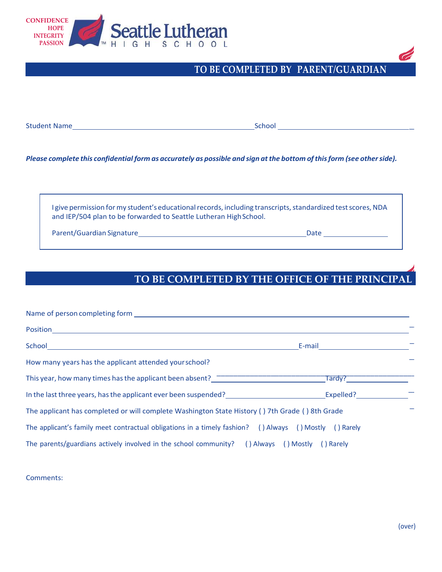

## **TO BE COMPLETED BY PARENT/GUARDIAN**

Student Name School

Please complete this confidential form as accurately as possible and sign at the bottom of this form (see other side).

I give permission for my student's educational records, including transcripts, standardized test scores, NDA and IEP/504 plan to be forwarded to Seattle Lutheran High School.

Parent/Guardian Signature Date

## **TO BE COMPLETED BY THE OFFICE OF THE PRINCIPAL**

| Name of person completing form <b>Example 20</b> Section 20 and 20 Section 20 and 20 and 20 and 20 and 20 and 20 and 20 and 20 and 20 and 20 and 20 and 20 and 20 and 20 and 20 and 20 and 20 and 20 and 20 and 20 and 20 and 20 an |           |
|-------------------------------------------------------------------------------------------------------------------------------------------------------------------------------------------------------------------------------------|-----------|
| Position                                                                                                                                                                                                                            |           |
|                                                                                                                                                                                                                                     | E-mail    |
| How many years has the applicant attended your school?                                                                                                                                                                              |           |
| This year, how many times has the applicant been absent? This year.                                                                                                                                                                 | Tardy?    |
| In the last three years, has the applicant ever been suspended?                                                                                                                                                                     | Expelled? |
| The applicant has completed or will complete Washington State History () 7th Grade () 8th Grade                                                                                                                                     |           |
| The applicant's family meet contractual obligations in a timely fashion? () Always () Mostly () Rarely                                                                                                                              |           |
| The parents/guardians actively involved in the school community? () Always () Mostly () Rarely                                                                                                                                      |           |

Comments:

 $\overline{\phantom{a}}$